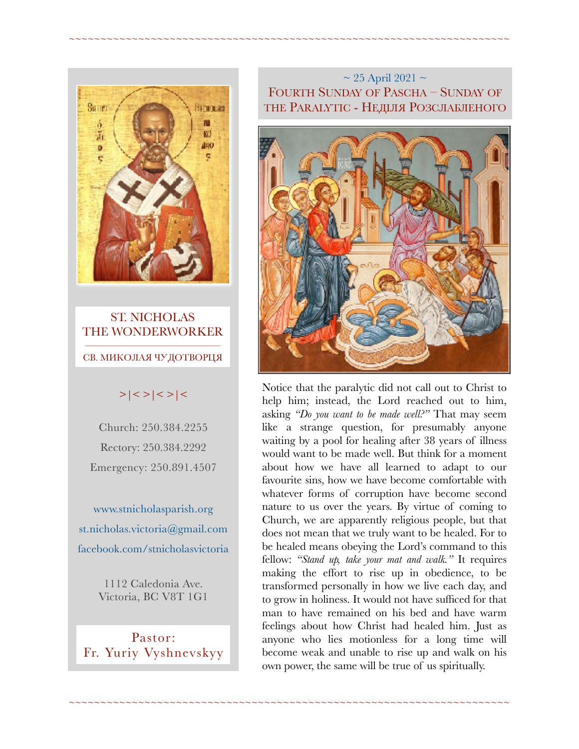

#### ST. NICHOLAS THE WONDERWORKER  $\frac{1}{\sqrt{2}}$  , and the contract of  $\frac{1}{\sqrt{2}}$  , and  $\frac{1}{\sqrt{2}}$  , and  $\frac{1}{\sqrt{2}}$ СВ. МИКОЛАЯ ЧУДОТВОРЦЯ

## $>|$  < >  $|$  <  $>$   $|$  <  $>$   $|$  <  $>$   $|$  <

Church: 250.384.2255 Rectory: 250.384.2292 Emergency: 250.891.4507

[www.stnicholasparish.org](http://www.stnicholasparish.org)  [st.nicholas.victoria@gmail.com](mailto:st.nicholas.victoria@gmail.com)  [facebook.com/stnicholasvictoria](http://facebook.com/stnicholasvictoria)

> 1112 Caledonia Ave. Victoria, BC V8T 1G1

Pastor: Fr. Yuriy Vyshnevskyy

### $\sim$  25 April 2021  $\sim$ FOURTH SUNDAY OF PASCHA – SUNDAY OF THE PARALYTIC - НЕДІЛЯ РОЗСЛАБЛЕНОГО

~~~~~~~~~~~~~~~~~~~~~~~~~~~~~~~~~~~~~~~~~~~~~~~~~~~~~~~~~~~~~~~~~~~~~~



Notice that the paralytic did not call out to Christ to help him; instead, the Lord reached out to him, asking *"Do you want to be made well?"* That may seem like a strange question, for presumably anyone waiting by a pool for healing after 38 years of illness would want to be made well. But think for a moment about how we have all learned to adapt to our favourite sins, how we have become comfortable with whatever forms of corruption have become second nature to us over the years. By virtue of coming to Church, we are apparently religious people, but that does not mean that we truly want to be healed. For to be healed means obeying the Lord's command to this fellow: *"Stand up, take your mat and walk."* It requires making the effort to rise up in obedience, to be transformed personally in how we live each day, and to grow in holiness. It would not have sufficed for that man to have remained on his bed and have warm feelings about how Christ had healed him. Just as anyone who lies motionless for a long time will become weak and unable to rise up and walk on his own power, the same will be true of us spiritually.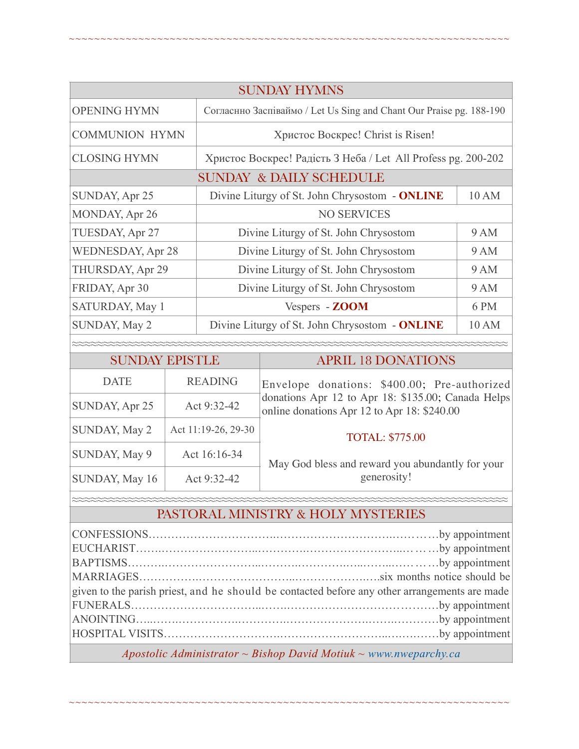| <b>SUNDAY HYMNS</b>                |                                                                     |       |  |  |
|------------------------------------|---------------------------------------------------------------------|-------|--|--|
| <b>OPENING HYMN</b>                | Согласнно Заспіваймо / Let Us Sing and Chant Our Praise pg. 188-190 |       |  |  |
| <b>COMMUNION HYMN</b>              | Христос Воскрес! Christ is Risen!                                   |       |  |  |
| <b>CLOSING HYMN</b>                | Христос Воскрес! Радість З Неба / Let All Profess pg. 200-202       |       |  |  |
| <b>SUNDAY &amp; DAILY SCHEDULE</b> |                                                                     |       |  |  |
| SUNDAY, Apr 25                     | Divine Liturgy of St. John Chrysostom - <b>ONLINE</b>               | 10 AM |  |  |
| MONDAY, Apr 26                     | <b>NO SERVICES</b>                                                  |       |  |  |
| TUESDAY, Apr 27                    | Divine Liturgy of St. John Chrysostom                               | 9 AM  |  |  |
| <b>WEDNESDAY, Apr 28</b>           | Divine Liturgy of St. John Chrysostom                               | 9 AM  |  |  |
| THURSDAY, Apr 29                   | Divine Liturgy of St. John Chrysostom                               | 9 AM  |  |  |
| FRIDAY, Apr 30                     | Divine Liturgy of St. John Chrysostom                               | 9 AM  |  |  |
| SATURDAY, May 1                    | Vespers - ZOOM                                                      | 6 PM  |  |  |
| SUNDAY, May 2                      | Divine Liturgy of St. John Chrysostom - ONLINE                      |       |  |  |

~~~~~~~~~~~~~~~~~~~~~~~~~~~~~~~~~~~~~~~~~~~~~~~~~~~~~~~~~~~~~~~~~~~~~~

| <b>SUNDAY EPISTLE</b> |                     | <b>APRIL 18 DONATIONS</b>                                                                         |  |
|-----------------------|---------------------|---------------------------------------------------------------------------------------------------|--|
| <b>DATE</b>           | <b>READING</b>      | Envelope donations: \$400.00; Pre-authorized                                                      |  |
| SUNDAY, Apr 25        | Act 9:32-42         | donations Apr 12 to Apr 18: \$135.00; Canada Helps<br>online donations Apr 12 to Apr 18: \$240.00 |  |
| <b>SUNDAY, May 2</b>  | Act 11:19-26, 29-30 | <b>TOTAL: \$775.00</b>                                                                            |  |
| SUNDAY, May 9         | Act 16:16-34        | May God bless and reward you abundantly for your<br>generosity!                                   |  |
| SUNDAY, May 16        | Act 9:32-42         |                                                                                                   |  |

≈≈≈≈≈≈≈≈≈≈≈≈≈≈≈≈≈≈≈≈≈≈≈≈≈≈≈≈≈≈≈≈≈≈≈≈≈≈≈≈≈≈≈≈≈≈≈≈≈≈≈≈≈≈≈≈≈≈≈≈≈≈≈≈≈≈≈≈≈≈

#### ≈≈≈≈≈≈≈≈≈≈≈≈≈≈≈≈≈≈≈≈≈≈≈≈≈≈≈≈≈≈≈≈≈≈≈≈≈≈≈≈≈≈≈≈≈≈≈≈≈≈≈≈≈≈≈≈≈≈≈≈≈≈≈≈≈≈≈≈≈≈ PASTORAL MINISTRY & HOLY MYSTERIES

| given to the parish priest, and he should be contacted before any other arrangements are made                                                                                                                                                                                                                                              |  |
|--------------------------------------------------------------------------------------------------------------------------------------------------------------------------------------------------------------------------------------------------------------------------------------------------------------------------------------------|--|
|                                                                                                                                                                                                                                                                                                                                            |  |
|                                                                                                                                                                                                                                                                                                                                            |  |
|                                                                                                                                                                                                                                                                                                                                            |  |
| $\mathbf{D} \mathbf{D}$ and $\mathbf{D} \mathbf{D}$ and $\mathbf{D} \mathbf{D}$ and $\mathbf{D} \mathbf{D}$ and $\mathbf{D} \mathbf{D}$ and $\mathbf{D} \mathbf{D}$ and $\mathbf{D} \mathbf{D}$ and $\mathbf{D} \mathbf{D}$ and $\mathbf{D} \mathbf{D}$ and $\mathbf{D} \mathbf{D}$ and $\mathbf{D} \mathbf{D}$ and $\mathbf{D} \mathbf{D$ |  |

*Apostolic Administrator ~ Bishop David Motiuk ~ [www.nweparchy.ca](http://www.nweparchy.ca)*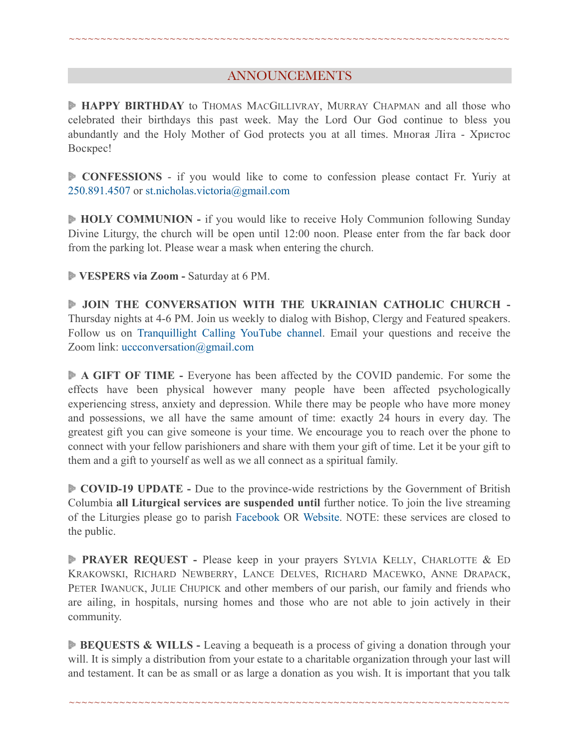## ANNOUNCEMENTS

~~~~~~~~~~~~~~~~~~~~~~~~~~~~~~~~~~~~~~~~~~~~~~~~~~~~~~~~~~~~~~~~~~~~~~

**HAPPY BIRTHDAY** to THOMAS MACGILLIVRAY, MURRAY CHAPMAN and all those who celebrated their birthdays this past week. May the Lord Our God continue to bless you abundantly and the Holy Mother of God protects you at all times. Многая Літа - Христос Воскрес!

**CONFESSIONS** - if you would like to come to confession please contact Fr. Yuriy at 250.891.4507 or [st.nicholas.victoria@gmail.com](mailto:st.nicholas.victoria@gmail.com)

**HOLY COMMUNION -** if you would like to receive Holy Communion following Sunday Divine Liturgy, the church will be open until 12:00 noon. Please enter from the far back door from the parking lot. Please wear a mask when entering the church.

 **VESPERS via Zoom -** Saturday at 6 PM.

**JOIN THE CONVERSATION WITH THE UKRAINIAN CATHOLIC CHURCH -**  Thursday nights at 4-6 PM. Join us weekly to dialog with Bishop, Clergy and Featured speakers. Follow us on [Tranquillight Calling YouTube channel.](https://www.youtube.com/channel/UCf39034kKgMTZl_hacrM9nA) Email your questions and receive the Zoom link: [uccconversation@gmail.com](mailto:uccconversation@gmail.com)

**A GIFT OF TIME -** Everyone has been affected by the COVID pandemic. For some the effects have been physical however many people have been affected psychologically experiencing stress, anxiety and depression. While there may be people who have more money and possessions, we all have the same amount of time: exactly 24 hours in every day. The greatest gift you can give someone is your time. We encourage you to reach over the phone to connect with your fellow parishioners and share with them your gift of time. Let it be your gift to them and a gift to yourself as well as we all connect as a spiritual family.

**COVID-19 UPDATE -** Due to the province-wide restrictions by the Government of British Columbia **all Liturgical services are suspended until** further notice. To join the live streaming of the Liturgies please go to parish [Facebook](https://www.facebook.com/stnicholasvictoria) OR [Website.](http://www.stnicholasparish.org) NOTE: these services are closed to the public.

**PRAYER REQUEST -** Please keep in your prayers SYLVIA KELLY, CHARLOTTE & ED KRAKOWSKI, RICHARD NEWBERRY, LANCE DELVES, RICHARD MACEWKO, ANNE DRAPACK, PETER IWANUCK, JULIE CHUPICK and other members of our parish, our family and friends who are ailing, in hospitals, nursing homes and those who are not able to join actively in their community.

**BEQUESTS & WILLS** - Leaving a bequeath is a process of giving a donation through your will. It is simply a distribution from your estate to a charitable organization through your last will and testament. It can be as small or as large a donation as you wish. It is important that you talk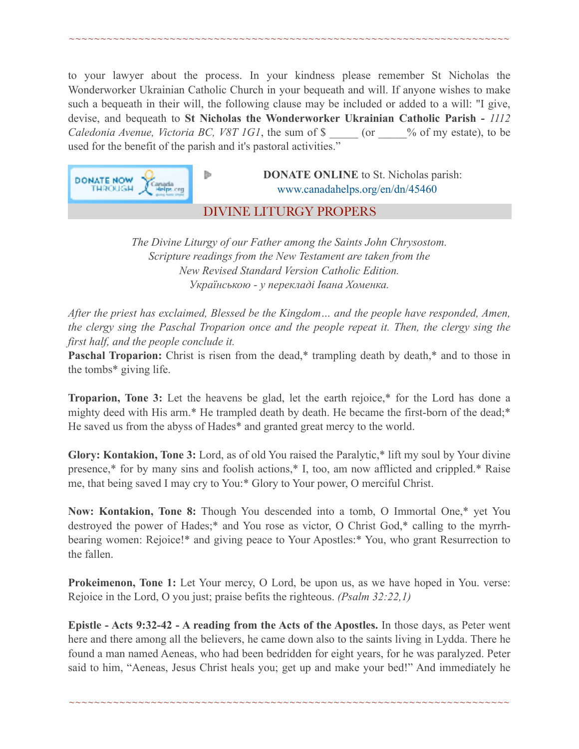to your lawyer about the process. In your kindness please remember St Nicholas the Wonderworker Ukrainian Catholic Church in your bequeath and will. If anyone wishes to make such a bequeath in their will, the following clause may be included or added to a will: "I give, devise, and bequeath to **St Nicholas the Wonderworker Ukrainian Catholic Parish -** *1112 Caledonia Avenue, Victoria BC, V8T 1G1*, the sum of \$  $\qquad$  (or  $\qquad$  % of my estate), to be used for the benefit of the parish and it's pastoral activities."

~~~~~~~~~~~~~~~~~~~~~~~~~~~~~~~~~~~~~~~~~~~~~~~~~~~~~~~~~~~~~~~~~~~~~~



**DONATE ONLINE** to St. Nicholas parish: [www.canadahelps.org/en/dn/45460](http://www.canadahelps.org/en/dn/45460)

DIVINE LITURGY PROPERS

*The Divine Liturgy of our Father among the Saints John Chrysostom. Scripture readings from the New Testament are taken from the New Revised Standard Version Catholic Edition. Українською - у перекладі Івана Хоменка.* 

*After the priest has exclaimed, Blessed be the Kingdom… and the people have responded, Amen, the clergy sing the Paschal Troparion once and the people repeat it. Then, the clergy sing the first half, and the people conclude it.* 

**Paschal Troparion:** Christ is risen from the dead,\* trampling death by death,\* and to those in the tombs\* giving life.

**Troparion, Tone 3:** Let the heavens be glad, let the earth rejoice,\* for the Lord has done a mighty deed with His arm.\* He trampled death by death. He became the first-born of the dead;\* He saved us from the abyss of Hades\* and granted great mercy to the world.

**Glory: Kontakion, Tone 3:** Lord, as of old You raised the Paralytic,\* lift my soul by Your divine presence,\* for by many sins and foolish actions,\* I, too, am now afflicted and crippled.\* Raise me, that being saved I may cry to You:\* Glory to Your power, O merciful Christ.

**Now: Kontakion, Tone 8:** Though You descended into a tomb, O Immortal One,\* yet You destroyed the power of Hades;\* and You rose as victor, O Christ God,\* calling to the myrrhbearing women: Rejoice!\* and giving peace to Your Apostles:\* You, who grant Resurrection to the fallen.

**Prokeimenon, Tone 1:** Let Your mercy, O Lord, be upon us, as we have hoped in You. verse: Rejoice in the Lord, O you just; praise befits the righteous. *(Psalm 32:22,1)*

**Epistle - Acts 9:32-42 - A reading from the Acts of the Apostles.** In those days, as Peter went here and there among all the believers, he came down also to the saints living in Lydda. There he found a man named Aeneas, who had been bedridden for eight years, for he was paralyzed. Peter said to him, "Aeneas, Jesus Christ heals you; get up and make your bed!" And immediately he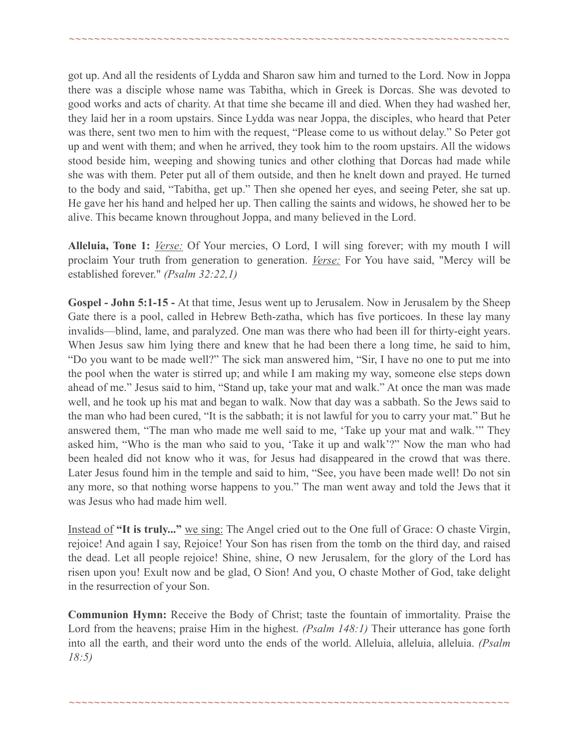got up. And all the residents of Lydda and Sharon saw him and turned to the Lord. Now in Joppa there was a disciple whose name was Tabitha, which in Greek is Dorcas. She was devoted to good works and acts of charity. At that time she became ill and died. When they had washed her, they laid her in a room upstairs. Since Lydda was near Joppa, the disciples, who heard that Peter was there, sent two men to him with the request, "Please come to us without delay." So Peter got up and went with them; and when he arrived, they took him to the room upstairs. All the widows stood beside him, weeping and showing tunics and other clothing that Dorcas had made while she was with them. Peter put all of them outside, and then he knelt down and prayed. He turned to the body and said, "Tabitha, get up." Then she opened her eyes, and seeing Peter, she sat up. He gave her his hand and helped her up. Then calling the saints and widows, he showed her to be alive. This became known throughout Joppa, and many believed in the Lord.

~~~~~~~~~~~~~~~~~~~~~~~~~~~~~~~~~~~~~~~~~~~~~~~~~~~~~~~~~~~~~~~~~~~~~~

**Alleluia, Tone 1:** *Verse:* Of Your mercies, O Lord, I will sing forever; with my mouth I will proclaim Your truth from generation to generation. *Verse:* For You have said, "Mercy will be established forever." *(Psalm 32:22,1)*

**Gospel - John 5:1-15 -** At that time, Jesus went up to Jerusalem. Now in Jerusalem by the Sheep Gate there is a pool, called in Hebrew Beth-zatha, which has five porticoes. In these lay many invalids—blind, lame, and paralyzed. One man was there who had been ill for thirty-eight years. When Jesus saw him lying there and knew that he had been there a long time, he said to him, "Do you want to be made well?" The sick man answered him, "Sir, I have no one to put me into the pool when the water is stirred up; and while I am making my way, someone else steps down ahead of me." Jesus said to him, "Stand up, take your mat and walk." At once the man was made well, and he took up his mat and began to walk. Now that day was a sabbath. So the Jews said to the man who had been cured, "It is the sabbath; it is not lawful for you to carry your mat." But he answered them, "The man who made me well said to me, 'Take up your mat and walk.'" They asked him, "Who is the man who said to you, 'Take it up and walk'?" Now the man who had been healed did not know who it was, for Jesus had disappeared in the crowd that was there. Later Jesus found him in the temple and said to him, "See, you have been made well! Do not sin any more, so that nothing worse happens to you." The man went away and told the Jews that it was Jesus who had made him well.

Instead of **"It is truly..."** we sing: The Angel cried out to the One full of Grace: O chaste Virgin, rejoice! And again I say, Rejoice! Your Son has risen from the tomb on the third day, and raised the dead. Let all people rejoice! Shine, shine, O new Jerusalem, for the glory of the Lord has risen upon you! Exult now and be glad, O Sion! And you, O chaste Mother of God, take delight in the resurrection of your Son.

**Communion Hymn:** Receive the Body of Christ; taste the fountain of immortality. Praise the Lord from the heavens; praise Him in the highest. *(Psalm 148:1)* Their utterance has gone forth into all the earth, and their word unto the ends of the world. Alleluia, alleluia, alleluia. *(Psalm 18:5)*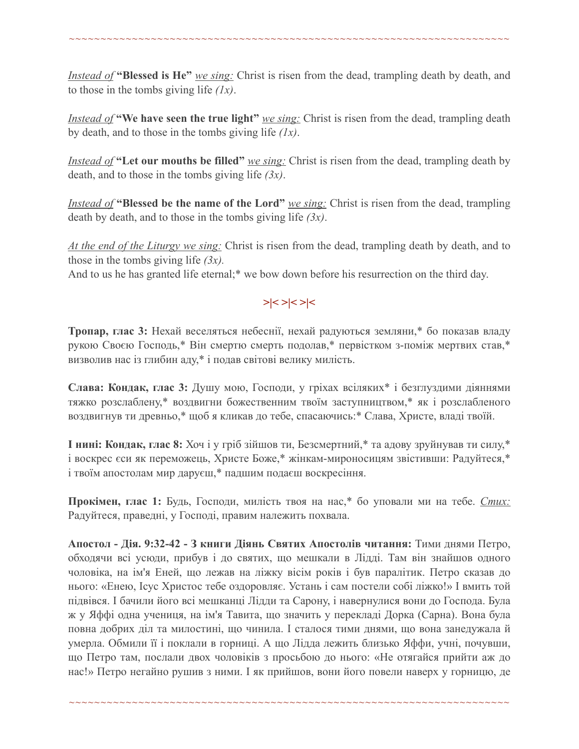*Instead of* **"Blessed is He"** *we sing:* Christ is risen from the dead, trampling death by death, and to those in the tombs giving life *(1x)*.

~~~~~~~~~~~~~~~~~~~~~~~~~~~~~~~~~~~~~~~~~~~~~~~~~~~~~~~~~~~~~~~~~~~~~~

*Instead of* **"We have seen the true light"** *<u>we sing:</u>* Christ is risen from the dead, trampling death by death, and to those in the tombs giving life *(1x)*.

*Instead of* "Let our mouths be filled" *we sing:* Christ is risen from the dead, trampling death by death, and to those in the tombs giving life *(3x)*.

*Instead of* **"Blessed be the name of the Lord"** *we sing:* Christ is risen from the dead, trampling death by death, and to those in the tombs giving life *(3x)*.

*At the end of the Liturgy we sing:* Christ is risen from the dead, trampling death by death, and to those in the tombs giving life *(3x).* 

And to us he has granted life eternal;\* we bow down before his resurrection on the third day.

## **>|< >|< >|<**

**Тропар, глас 3:** Нехай веселяться небеснії, нехай радуються земляни,\* бо показав владу рукою Своєю Господь,\* Він смертю смерть подолав,\* первістком з-поміж мертвих став,\* визволив нас із глибин аду,\* і подав світові велику милість.

**Слава: Кондак, глас 3:** Душу мою, Господи, у гріхах всіляких\* і безглуздими діяннями тяжко розслаблену,\* воздвигни божественним твоїм заступництвом,\* як і розслабленого воздвигнув ти древньо,\* щоб я кликав до тебе, спасаючись:\* Слава, Христе, владі твоїй.

**І нині: Кондак, глас 8:** Хоч і у гріб зійшов ти, Безсмертний,\* та адову зруйнував ти силу,\* і воскрес єси як переможець, Христе Боже,\* жінкам-мироносицям звістивши: Радуйтеся,\* і твоїм апостолам мир даруєш,\* падшим подаєш воскресіння.

**Прокімен, глас 1:** Будь, Господи, милість твоя на нас,\* бо уповали ми на тебе. *Cтих:*  Радуйтеся, праведні, у Господі, правим належить похвала.

**Апостол - Дія. 9:32-42 - З книги Діянь Святих Апостолів читання:** Тими днями Петро, обходячи всі усюди, прибув і до святих, що мешкали в Лідді. Там він знайшов одного чоловіка, на ім'я Еней, що лежав на ліжку вісім років і був паралітик. Петро сказав до нього: «Енею, Ісус Христос тебе оздоровляє. Устань і сам постели собі ліжко!» І вмить той підвівся. І бачили його всі мешканці Лідди та Сарону, і навернулися вони до Господа. Була ж у Яффі одна учениця, на ім'я Тавита, що значить у перекладі Дорка (Сарна). Вона була повна добрих діл та милостині, що чинила. І сталося тими днями, що вона занедужала й умерла. Обмили її і поклали в горниці. А що Лідда лежить близько Яффи, учні, почувши, що Петро там, послали двох чоловіків з просьбою до нього: «Не отягайся прийти аж до нас!» Петро негайно рушив з ними. І як прийшов, вони його повели наверх у горницю, де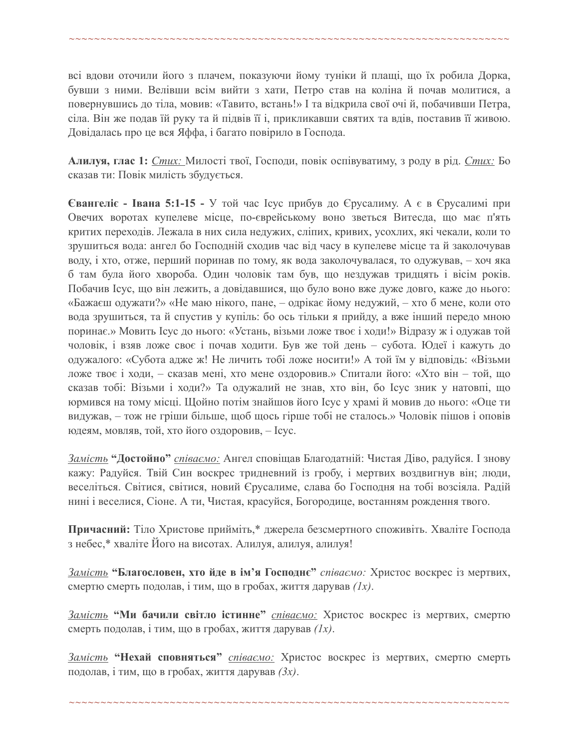всі вдови оточили його з плачем, показуючи йому туніки й плащі, що їх робила Дорка, бувши з ними. Велівши всім вийти з хати, Петро став на коліна й почав молитися, а повернувшись до тіла, мовив: «Тавито, встань!» І та відкрила свої очі й, побачивши Петра, сіла. Він же подав їй руку та й підвів її і, прикликавши святих та вдів, поставив її живою. Довідалась про це вся Яффа, і багато повірило в Господа.

~~~~~~~~~~~~~~~~~~~~~~~~~~~~~~~~~~~~~~~~~~~~~~~~~~~~~~~~~~~~~~~~~~~~~~

**Алилуя, глас 1:** *Cтих:* Милості твої, Господи, повік оспівуватиму, з роду в рід. *Cтих:* Бо сказав ти: Повік милість збудується.

**Євангеліє - Івана 5:1-15 -** У той час Ісус прибув до Єрусалиму. А є в Єрусалимі при Овечих воротах купелеве місце, по-єврейському воно зветься Витесда, що має п'ять критих переходів. Лежала в них сила недужих, сліпих, кривих, усохлих, які чекали, коли то зрушиться вода: ангел бо Господній сходив час від часу в купелеве місце та й заколочував воду, і хто, отже, перший поринав по тому, як вода заколочувалася, то одужував, – хоч яка б там була його хвороба. Один чоловік там був, що нездужав тридцять і вісім років. Побачив Ісус, що він лежить, а довідавшися, що було воно вже дуже довго, каже до нього: «Бажаєш одужати?» «Не маю нікого, пане, – одрікає йому недужий, – хто б мене, коли ото вода зрушиться, та й спустив у купіль: бо ось тільки я прийду, а вже інший передо мною поринає.» Мовить Ісус до нього: «Устань, візьми ложе твоє і ходи!» Відразу ж і одужав той чоловік, і взяв ложе своє і почав ходити. Був же той день – субота. Юдеї і кажуть до одужалого: «Субота адже ж! Не личить тобі ложе носити!» А той їм у відповідь: «Візьми ложе твоє і ходи, – сказав мені, хто мене оздоровив.» Спитали його: «Хто він – той, що сказав тобі: Візьми і ходи?» Та одужалий не знав, хто він, бо Ісус зник у натовпі, що юрмився на тому місці. Щойно потім знайшов його Ісус у храмі й мовив до нього: «Оце ти видужав, – тож не гріши більше, щоб щось гірше тобі не сталось.» Чоловік пішов і оповів юдеям, мовляв, той, хто його оздоровив, – Ісус.

*Замість* **"Достойно"** *співаємо:* Ангел сповіщав Благодатній: Чистая Діво, радуйся. І знову кажу: Радуйся. Твій Син воскрес тридневний із гробу, і мертвих воздвигнув він; люди, веселіться. Світися, світися, новий Єрусалиме, слава бо Господня на тобі возсіяла. Радій нині і веселися, Сіоне. А ти, Чистая, красуйся, Богородице, востанням рождення твого.

**Причасний:** Тіло Христове прийміть,\* джерела безсмертного споживіть. Хваліте Господа з небес,\* хваліте Його на висотах. Алилуя, aлилуя, aлилуя!

*Замість* **"Благословен, хто йде в ім'я Господнє"** *співаємо:* Христос воскрес із мертвих, смертю смерть подолав, і тим, що в гробах, життя дарував *(1x)*.

*Замість* **"Ми бачили світло істинне"** *співаємо:* Христос воскрес із мертвих, смертю смерть подолав, і тим, що в гробах, життя дарував *(1x)*.

*Замість* **"Нехай сповняться"** *співаємо:* Христос воскрес із мертвих, смертю смерть подолав, і тим, що в гробах, життя дарував *(3x)*.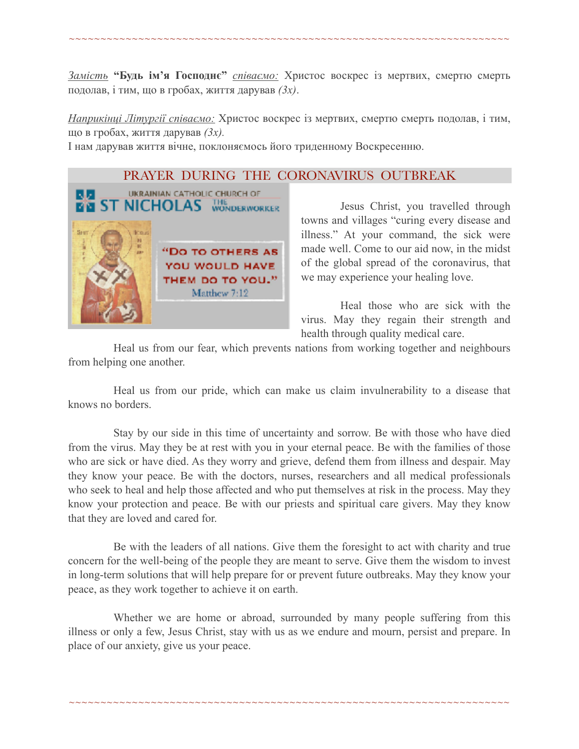*Замість* **"Будь ім'я Господнє"** *співаємо:* Христос воскрес із мертвих, смертю смерть подолав, і тим, що в гробах, життя дарував *(3x)*.

~~~~~~~~~~~~~~~~~~~~~~~~~~~~~~~~~~~~~~~~~~~~~~~~~~~~~~~~~~~~~~~~~~~~~~

*Наприкінці Літургії співаємо:* Христос воскрес із мертвих, смертю смерть подолав, і тим, що в гробах, життя дарував *(3x).* 

І нам дарував життя вічне, поклоняємось його триденному Воскресенню.

# PRAYER DURING THE CORONAVIRUS OUTBREAKUKRAINIAN CATHOLIC CHURCH OF اعادا NICHOLAS WONDERWORKER "DO TO OTHERS AS YOU WOULD HAVE THEM DO TO YOU." Matthew 7:12

 Jesus Christ, you travelled through towns and villages "curing every disease and illness." At your command, the sick were made well. Come to our aid now, in the midst of the global spread of the coronavirus, that we may experience your healing love.

 Heal those who are sick with the virus. May they regain their strength and health through quality medical care.

Heal us from our fear, which prevents nations from working together and neighbours from helping one another.

Heal us from our pride, which can make us claim invulnerability to a disease that knows no borders.

Stay by our side in this time of uncertainty and sorrow. Be with those who have died from the virus. May they be at rest with you in your eternal peace. Be with the families of those who are sick or have died. As they worry and grieve, defend them from illness and despair. May they know your peace. Be with the doctors, nurses, researchers and all medical professionals who seek to heal and help those affected and who put themselves at risk in the process. May they know your protection and peace. Be with our priests and spiritual care givers. May they know that they are loved and cared for.

Be with the leaders of all nations. Give them the foresight to act with charity and true concern for the well-being of the people they are meant to serve. Give them the wisdom to invest in long-term solutions that will help prepare for or prevent future outbreaks. May they know your peace, as they work together to achieve it on earth.

Whether we are home or abroad, surrounded by many people suffering from this illness or only a few, Jesus Christ, stay with us as we endure and mourn, persist and prepare. In place of our anxiety, give us your peace.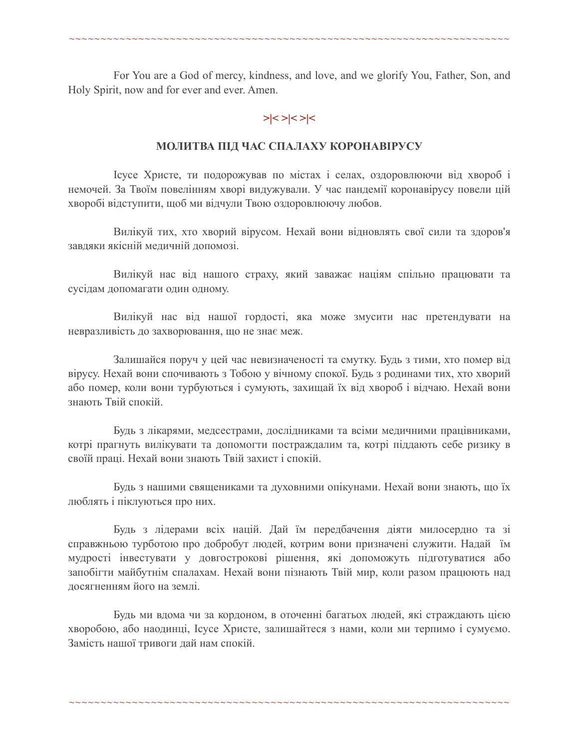For You are a God of mercy, kindness, and love, and we glorify You, Father, Son, and Holy Spirit, now and for ever and ever. Amen.

~~~~~~~~~~~~~~~~~~~~~~~~~~~~~~~~~~~~~~~~~~~~~~~~~~~~~~~~~~~~~~~~~~~~~~

### **>|< >|< >|<**

#### **МОЛИТВА ПІД ЧАС СПАЛАХУ КОРОНАВІРУСУ**

Ісусе Христе, ти подорожував по містах і селах, оздоровлюючи від хвороб і немочей. За Твоїм повелінням хворі видужували. У час пандемії коронавірусу повели цій хворобі відступити, щоб ми відчули Твою оздоровлюючу любов.

Вилікуй тих, хто хворий вірусом. Нехай вони відновлять свої сили та здоров'я завдяки якісній медичній допомозі.

Вилікуй нас від нашого страху, який заважає націям спільно працювати та сусідам допомагати один одному.

Вилікуй нас від нашої гордості, яка може змусити нас претендувати на невразливість до захворювання, що не знає меж.

Залишайся поруч у цей час невизначеності та смутку. Будь з тими, хто помер від вірусу. Нехай вони спочивають з Тобою у вічному спокої. Будь з родинами тих, хто хворий або помер, коли вони турбуються і сумують, захищай їх від хвороб і відчаю. Нехай вони знають Твій спокій.

Будь з лікарями, медсестрами, дослідниками та всіми медичними працівниками, котрі прагнуть вилікувати та допомогти постраждалим та, котрі піддають себе ризику в своїй праці. Нехай вони знають Твій захист і спокій.

Будь з нашими священиками та духовними опікунами. Нехай вони знають, що їх люблять і піклуються про них.

Будь з лідерами всіх націй. Дай їм передбачення діяти милосердно та зі справжньою турботою про добробут людей, котрим вони призначені служити. Надай їм мудрості інвестувати у довгострокові рішення, які допоможуть підготуватися або запобігти майбутнім спалахам. Нехай вони пізнають Твій мир, коли разом працюють над досягненням його на землі.

Будь ми вдома чи за кордоном, в оточенні багатьох людей, які страждають цією хворобою, або наодинці, Ісусе Христе, залишайтеся з нами, коли ми терпимо і сумуємо. Замість нашої тривоги дай нам спокій.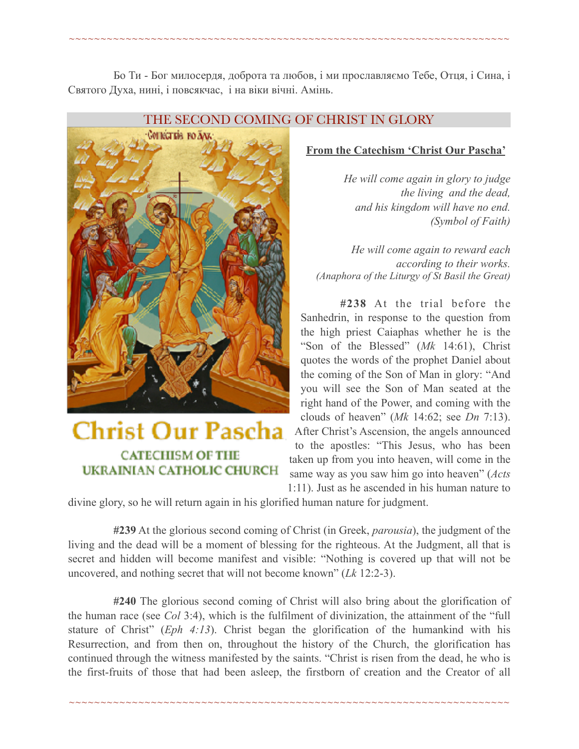Бо Ти - Бог милосердя, доброта та любов, і ми прославляємо Тебе, Отця, і Сина, і Святого Духа, нині, і повсякчас, і на віки вічні. Амінь.

~~~~~~~~~~~~~~~~~~~~~~~~~~~~~~~~~~~~~~~~~~~~~~~~~~~~~~~~~~~~~~~~~~~~~~



# **Christ Our Pascha CATECHISM OF THE UKRAINIAN CATHOLIC CHURCH**

## **From the Catechism 'Christ Our Pascha'**

*He will come again in glory to judge the living and the dead, and his kingdom will have no end. (Symbol of Faith)* 

*He will come again to reward each according to their works. (Anaphora of the Liturgy of St Basil the Great)* 

 **#238** At the trial before the Sanhedrin, in response to the question from the high priest Caiaphas whether he is the "Son of the Blessed" (*Mk* 14:61), Christ quotes the words of the prophet Daniel about the coming of the Son of Man in glory: "And you will see the Son of Man seated at the right hand of the Power, and coming with the clouds of heaven" (*Mk* 14:62; see *Dn* 7:13). After Christ's Ascension, the angels announced to the apostles: "This Jesus, who has been taken up from you into heaven, will come in the same way as you saw him go into heaven" (*Acts*  1:11). Just as he ascended in his human nature to

divine glory, so he will return again in his glorified human nature for judgment.

**#239** At the glorious second coming of Christ (in Greek, *parousia*), the judgment of the living and the dead will be a moment of blessing for the righteous. At the Judgment, all that is secret and hidden will become manifest and visible: "Nothing is covered up that will not be uncovered, and nothing secret that will not become known" (*Lk* 12:2-3).

**#240** The glorious second coming of Christ will also bring about the glorification of the human race (see *Col* 3:4), which is the fulfilment of divinization, the attainment of the "full stature of Christ" (*Eph 4:13*). Christ began the glorification of the humankind with his Resurrection, and from then on, throughout the history of the Church, the glorification has continued through the witness manifested by the saints. "Christ is risen from the dead, he who is the first-fruits of those that had been asleep, the firstborn of creation and the Creator of all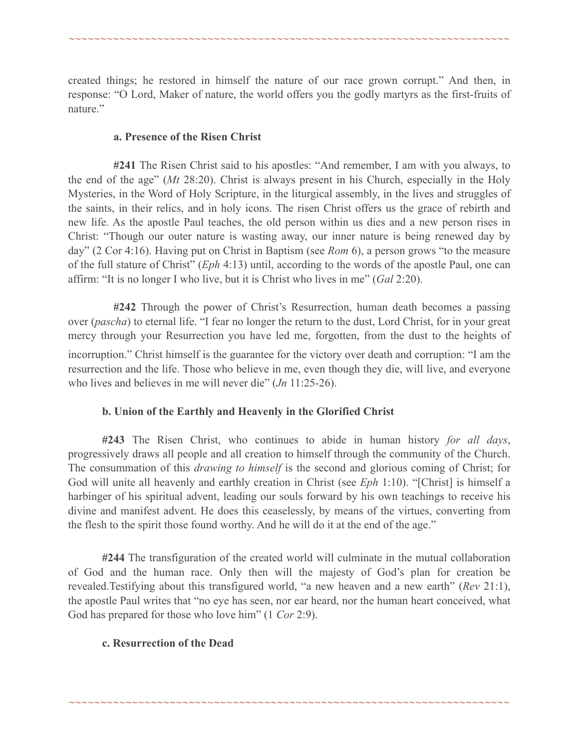created things; he restored in himself the nature of our race grown corrupt." And then, in response: "O Lord, Maker of nature, the world offers you the godly martyrs as the first-fruits of nature."

~~~~~~~~~~~~~~~~~~~~~~~~~~~~~~~~~~~~~~~~~~~~~~~~~~~~~~~~~~~~~~~~~~~~~~

#### **a. Presence of the Risen Christ**

**#241** The Risen Christ said to his apostles: "And remember, I am with you always, to the end of the age" (*Mt* 28:20). Christ is always present in his Church, especially in the Holy Mysteries, in the Word of Holy Scripture, in the liturgical assembly, in the lives and struggles of the saints, in their relics, and in holy icons. The risen Christ offers us the grace of rebirth and new life. As the apostle Paul teaches, the old person within us dies and a new person rises in Christ: "Though our outer nature is wasting away, our inner nature is being renewed day by day" (2 Cor 4:16). Having put on Christ in Baptism (see *Rom* 6), a person grows "to the measure of the full stature of Christ" (*Eph* 4:13) until, according to the words of the apostle Paul, one can affirm: "It is no longer I who live, but it is Christ who lives in me" (*Gal* 2:20).

**#242** Through the power of Christ's Resurrection, human death becomes a passing over (*pascha*) to eternal life. "I fear no longer the return to the dust, Lord Christ, for in your great mercy through your Resurrection you have led me, forgotten, from the dust to the heights of incorruption." Christ himself is the guarantee for the victory over death and corruption: "I am the resurrection and the life. Those who believe in me, even though they die, will live, and everyone who lives and believes in me will never die" (*Jn* 11:25-26).

#### **b. Union of the Earthly and Heavenly in the Glorified Christ**

**#243** The Risen Christ, who continues to abide in human history *for all days*, progressively draws all people and all creation to himself through the community of the Church. The consummation of this *drawing to himself* is the second and glorious coming of Christ; for God will unite all heavenly and earthly creation in Christ (see *Eph* 1:10). "[Christ] is himself a harbinger of his spiritual advent, leading our souls forward by his own teachings to receive his divine and manifest advent. He does this ceaselessly, by means of the virtues, converting from the flesh to the spirit those found worthy. And he will do it at the end of the age."

**#244** The transfiguration of the created world will culminate in the mutual collaboration of God and the human race. Only then will the majesty of God's plan for creation be revealed.Testifying about this transfigured world, "a new heaven and a new earth" (*Rev* 21:1), the apostle Paul writes that "no eye has seen, nor ear heard, nor the human heart conceived, what God has prepared for those who love him" (1 *Cor* 2:9).

~~~~~~~~~~~~~~~~~~~~~~~~~~~~~~~~~~~~~~~~~~~~~~~~~~~~~~~~~~~~~~~~~~~~~~

#### **c. Resurrection of the Dead**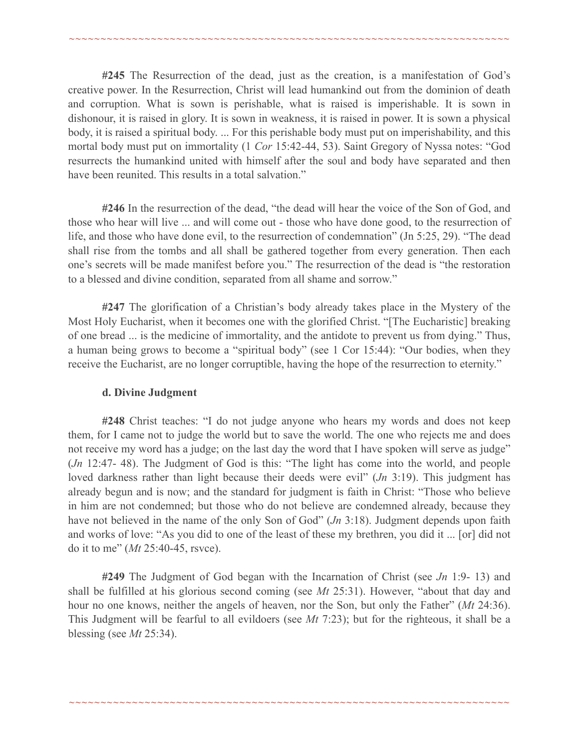**#245** The Resurrection of the dead, just as the creation, is a manifestation of God's creative power. In the Resurrection, Christ will lead humankind out from the dominion of death and corruption. What is sown is perishable, what is raised is imperishable. It is sown in dishonour, it is raised in glory. It is sown in weakness, it is raised in power. It is sown a physical body, it is raised a spiritual body. ... For this perishable body must put on imperishability, and this mortal body must put on immortality (1 *Cor* 15:42-44, 53). Saint Gregory of Nyssa notes: "God resurrects the humankind united with himself after the soul and body have separated and then have been reunited. This results in a total salvation."

~~~~~~~~~~~~~~~~~~~~~~~~~~~~~~~~~~~~~~~~~~~~~~~~~~~~~~~~~~~~~~~~~~~~~~

**#246** In the resurrection of the dead, "the dead will hear the voice of the Son of God, and those who hear will live ... and will come out - those who have done good, to the resurrection of life, and those who have done evil, to the resurrection of condemnation" (Jn 5:25, 29). "The dead shall rise from the tombs and all shall be gathered together from every generation. Then each one's secrets will be made manifest before you." The resurrection of the dead is "the restoration to a blessed and divine condition, separated from all shame and sorrow."

**#247** The glorification of a Christian's body already takes place in the Mystery of the Most Holy Eucharist, when it becomes one with the glorified Christ. "[The Eucharistic] breaking of one bread ... is the medicine of immortality, and the antidote to prevent us from dying." Thus, a human being grows to become a "spiritual body" (see 1 Cor 15:44): "Our bodies, when they receive the Eucharist, are no longer corruptible, having the hope of the resurrection to eternity."

#### **d. Divine Judgment**

**#248** Christ teaches: "I do not judge anyone who hears my words and does not keep them, for I came not to judge the world but to save the world. The one who rejects me and does not receive my word has a judge; on the last day the word that I have spoken will serve as judge" (*Jn* 12:47- 48). The Judgment of God is this: "The light has come into the world, and people loved darkness rather than light because their deeds were evil" (*Jn* 3:19). This judgment has already begun and is now; and the standard for judgment is faith in Christ: "Those who believe in him are not condemned; but those who do not believe are condemned already, because they have not believed in the name of the only Son of God" (*Jn* 3:18). Judgment depends upon faith and works of love: "As you did to one of the least of these my brethren, you did it ... [or] did not do it to me" (*Mt* 25:40-45, rsvce).

**#249** The Judgment of God began with the Incarnation of Christ (see *Jn* 1:9- 13) and shall be fulfilled at his glorious second coming (see *Mt* 25:31). However, "about that day and hour no one knows, neither the angels of heaven, nor the Son, but only the Father" (*Mt* 24:36). This Judgment will be fearful to all evildoers (see *Mt* 7:23); but for the righteous, it shall be a blessing (see *Mt* 25:34).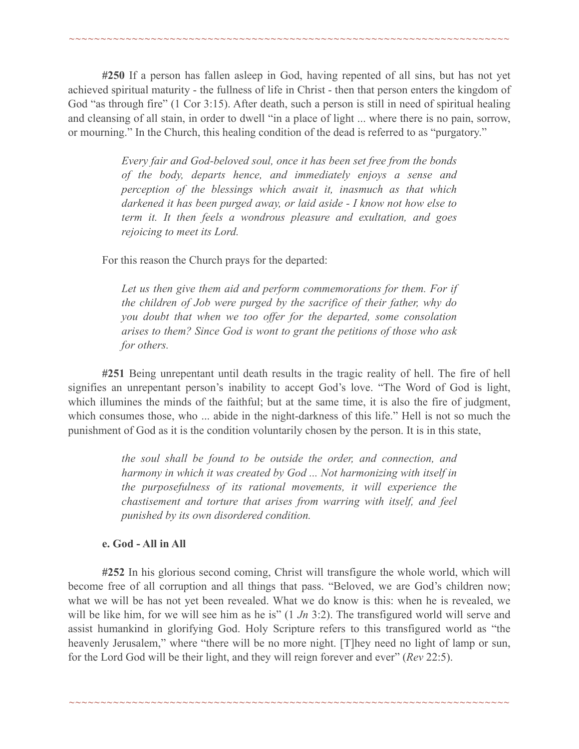**#250** If a person has fallen asleep in God, having repented of all sins, but has not yet achieved spiritual maturity - the fullness of life in Christ - then that person enters the kingdom of God "as through fire" (1 Cor 3:15). After death, such a person is still in need of spiritual healing and cleansing of all stain, in order to dwell "in a place of light ... where there is no pain, sorrow, or mourning." In the Church, this healing condition of the dead is referred to as "purgatory."

~~~~~~~~~~~~~~~~~~~~~~~~~~~~~~~~~~~~~~~~~~~~~~~~~~~~~~~~~~~~~~~~~~~~~~

*Every fair and God-beloved soul, once it has been set free from the bonds of the body, departs hence, and immediately enjoys a sense and perception of the blessings which await it, inasmuch as that which darkened it has been purged away, or laid aside - I know not how else to term it. It then feels a wondrous pleasure and exultation, and goes rejoicing to meet its Lord.* 

For this reason the Church prays for the departed:

Let us then give them aid and perform commemorations for them. For if *the children of Job were purged by the sacrifice of their father, why do you doubt that when we too offer for the departed, some consolation arises to them? Since God is wont to grant the petitions of those who ask for others.* 

**#251** Being unrepentant until death results in the tragic reality of hell. The fire of hell signifies an unrepentant person's inability to accept God's love. "The Word of God is light, which illumines the minds of the faithful; but at the same time, it is also the fire of judgment, which consumes those, who ... abide in the night-darkness of this life." Hell is not so much the punishment of God as it is the condition voluntarily chosen by the person. It is in this state,

> *the soul shall be found to be outside the order, and connection, and harmony in which it was created by God ... Not harmonizing with itself in the purposefulness of its rational movements, it will experience the chastisement and torture that arises from warring with itself, and feel punished by its own disordered condition.*

#### **e. God - All in All**

**#252** In his glorious second coming, Christ will transfigure the whole world, which will become free of all corruption and all things that pass. "Beloved, we are God's children now; what we will be has not yet been revealed. What we do know is this: when he is revealed, we will be like him, for we will see him as he is" (1 *Jn* 3:2). The transfigured world will serve and assist humankind in glorifying God. Holy Scripture refers to this transfigured world as "the heavenly Jerusalem," where "there will be no more night. [T] hey need no light of lamp or sun, for the Lord God will be their light, and they will reign forever and ever" (*Rev* 22:5).